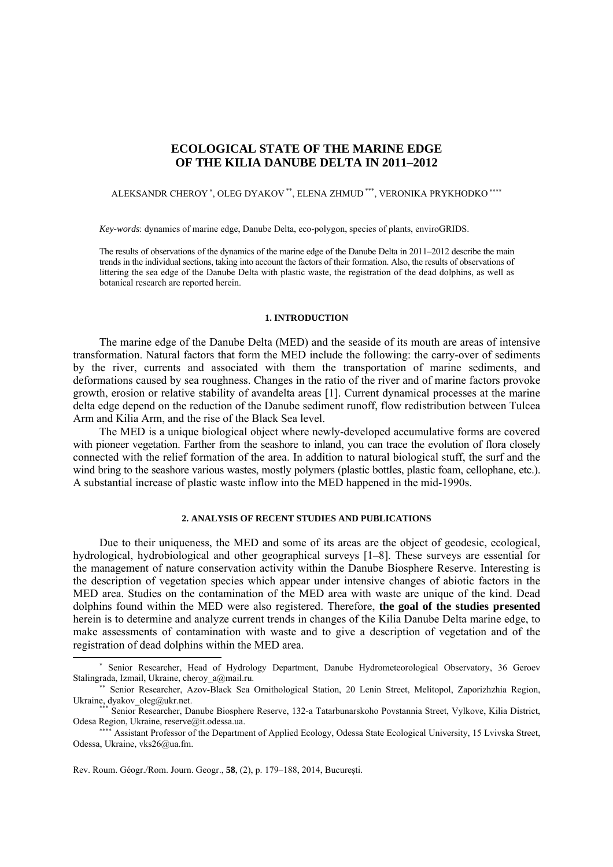# **ECOLOGICAL STATE OF THE MARINE EDGE OF THE KILIA DANUBE DELTA IN 2011–2012**

## ALEKSANDR CHEROY\*, OLEG DYAKOV\*\*, ELENA ZHMUD\*\*\*, VERONIKA PRYKHODKO\*\*\*\*

*Key-words*: dynamics of marine edge, Danube Delta, eco-polygon, species of plants, enviroGRIDS.

The results of observations of the dynamics of the marine edge of the Danube Delta in 2011–2012 describe the main trends in the individual sections, taking into account the factors of their formation. Also, the results of observations of littering the sea edge of the Danube Delta with plastic waste, the registration of the dead dolphins, as well as botanical research are reported herein.

## **1. INTRODUCTION**

The marine edge of the Danube Delta (MED) and the seaside of its mouth are areas of intensive transformation. Natural factors that form the MED include the following: the carry-over of sediments by the river, currents and associated with them the transportation of marine sediments, and deformations caused by sea roughness. Changes in the ratio of the river and of marine factors provoke growth, erosion or relative stability of avandelta areas [1]. Current dynamical processes at the marine delta edge depend on the reduction of the Danube sediment runoff, flow redistribution between Tulcea Arm and Kilia Arm, and the rise of the Black Sea level.

The MED is a unique biological object where newly-developed accumulative forms are covered with pioneer vegetation. Farther from the seashore to inland, you can trace the evolution of flora closely connected with the relief formation of the area. In addition to natural biological stuff, the surf and the wind bring to the seashore various wastes, mostly polymers (plastic bottles, plastic foam, cellophane, etc.). A substantial increase of plastic waste inflow into the MED happened in the mid-1990s.

## **2. ANALYSIS OF RECENT STUDIES AND PUBLICATIONS**

Due to their uniqueness, the MED and some of its areas are the object of geodesic, ecological, hydrological, hydrobiological and other geographical surveys [1–8]. These surveys are essential for the management of nature conservation activity within the Danube Biosphere Reserve. Interesting is the description of vegetation species which appear under intensive changes of abiotic factors in the MED area. Studies on the contamination of the MED area with waste are unique of the kind. Dead dolphins found within the MED were also registered. Therefore, **the goal of the studies presented**  herein is to determine and analyze current trends in changes of the Kilia Danube Delta marine edge, to make assessments of contamination with waste and to give a description of vegetation and of the registration of dead dolphins within the MED area.

Rev. Roum. Géogr./Rom. Journ. Geogr., **58**, (2), p. 179–188, 2014, Bucureşti.

 $\overline{a}$ 

<sup>∗</sup> Senior Researcher, Head of Hydrology Department, Danube Hydrometeorological Observatory, 36 Geroev Stalingrada, Izmail, Ukraine, cheroy a@mail.ru.

<sup>\*\*</sup> Senior Researcher, Azov-Black Sea Ornithological Station, 20 Lenin Street, Melitopol, Zaporizhzhia Region, Ukraine, dyakov\_oleg@ukr.net.

Senior Researcher, Danube Biosphere Reserve, 132-a Tatarbunarskoho Povstannia Street, Vylkove, Kilia District, Odesa Region, Ukraine, reserve@it.odessa.ua.

<sup>∗∗∗∗</sup> Assistant Professor of the Department of Applied Ecology, Odessa State Ecological University, 15 Lvivska Street, Odessa, Ukraine, vks26@ua.fm.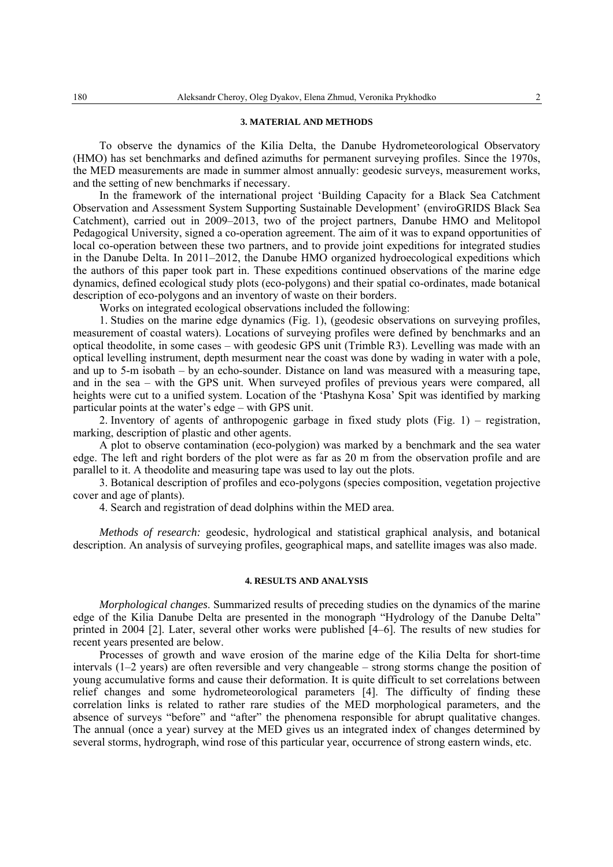#### **3. MATERIAL AND METHODS**

To observe the dynamics of the Kilia Delta, the Danube Hydrometeorological Observatory (HMO) has set benchmarks and defined azimuths for permanent surveying profiles. Since the 1970s, the MED measurements are made in summer almost annually: geodesic surveys, measurement works, and the setting of new benchmarks if necessary.

In the framework of the international project 'Building Capacity for a Black Sea Catchment Observation and Assessment System Supporting Sustainable Development' (enviroGRIDS Black Sea Catchment), carried out in 2009–2013, two of the project partners, Danube HMO and Melitopol Pedagogical University, signed a co-operation agreement. The aim of it was to expand opportunities of local co-operation between these two partners, and to provide joint expeditions for integrated studies in the Danube Delta. In 2011–2012, the Danube HMO organized hydroecological expeditions which the authors of this paper took part in. These expeditions continued observations of the marine edge dynamics, defined ecological study plots (eco-polygons) and their spatial co-ordinates, made botanical description of eco-polygons and an inventory of waste on their borders.

Works on integrated ecological observations included the following:

1. Studies on the marine edge dynamics (Fig. 1), (geodesic observations on surveying profiles, measurement of coastal waters). Locations of surveying profiles were defined by benchmarks and an optical theodolite, in some cases – with geodesic GPS unit (Trimble R3). Levelling was made with an optical levelling instrument, depth mesurment near the coast was done by wading in water with a pole, and up to 5-m isobath – by an echo-sounder. Distance on land was measured with a measuring tape, and in the sea – with the GPS unit. When surveyed profiles of previous years were compared, all heights were cut to a unified system. Location of the 'Ptashyna Kosa' Spit was identified by marking particular points at the water's edge – with GPS unit.

2. Inventory of agents of anthropogenic garbage in fixed study plots (Fig. 1) – registration, marking, description of plastic and other agents.

A plot to observe contamination (eco-polygion) was marked by a benchmark and the sea water edge. The left and right borders of the plot were as far as 20 m from the observation profile and are parallel to it. A theodolite and measuring tape was used to lay out the plots.

3. Botanical description of profiles and eco-polygons (species composition, vegetation projective cover and age of plants).

4. Search and registration of dead dolphins within the MED area.

*Methods of research:* geodesic, hydrological and statistical graphical analysis, and botanical description. An analysis of surveying profiles, geographical maps, and satellite images was also made.

## **4. RESULTS AND ANALYSIS**

*Morphological changes*. Summarized results of preceding studies on the dynamics of the marine edge of the Kilia Danube Delta are presented in the monograph "Hydrology of the Danube Delta" printed in 2004 [2]. Later, several other works were published [4–6]. The results of new studies for recent years presented are below.

Processes of growth and wave erosion of the marine edge of the Kilia Delta for short-time intervals (1–2 years) are often reversible and very changeable – strong storms change the position of young accumulative forms and cause their deformation. It is quite difficult to set correlations between relief changes and some hydrometeorological parameters [4]. The difficulty of finding these correlation links is related to rather rare studies of the MED morphological parameters, and the absence of surveys "before" and "after" the phenomena responsible for abrupt qualitative changes. The annual (once a year) survey at the MED gives us an integrated index of changes determined by several storms, hydrograph, wind rose of this particular year, occurrence of strong eastern winds, etc.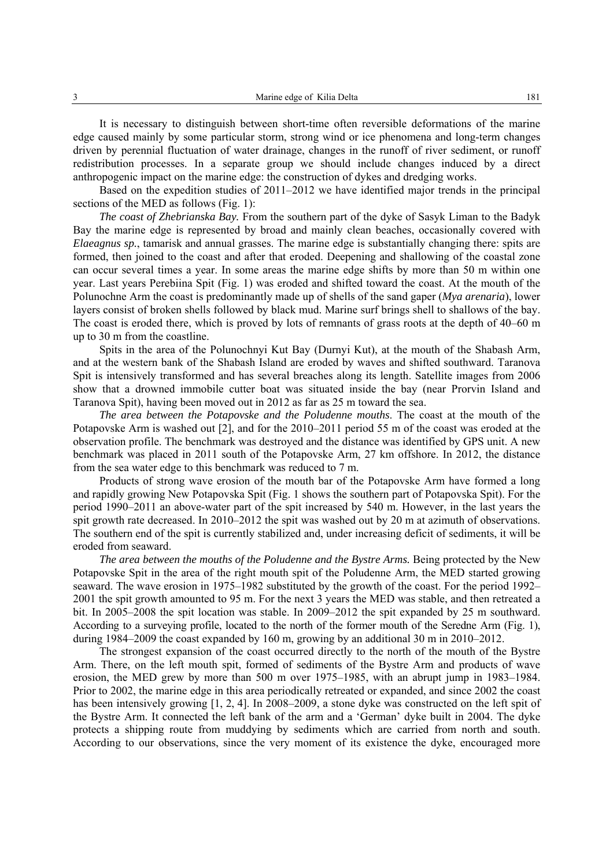It is necessary to distinguish between short-time often reversible deformations of the marine edge caused mainly by some particular storm, strong wind or ice phenomena and long-term changes driven by perennial fluctuation of water drainage, changes in the runoff of river sediment, or runoff redistribution processes. In a separate group we should include changes induced by a direct anthropogenic impact on the marine edge: the construction of dykes and dredging works.

Based on the expedition studies of 2011–2012 we have identified major trends in the principal sections of the MED as follows (Fig. 1):

*The coast of Zhebrianska Bay.* From the southern part of the dyke of Sasyk Liman to the Badyk Bay the marine edge is represented by broad and mainly clean beaches, occasionally covered with *Elaeagnus sp.*, tamarisk and annual grasses. The marine edge is substantially changing there: spits are formed, then joined to the coast and after that eroded. Deepening and shallowing of the coastal zone can occur several times a year. In some areas the marine edge shifts by more than 50 m within one year. Last years Perebiina Spit (Fig. 1) was eroded and shifted toward the coast. At the mouth of the Polunochne Arm the coast is predominantly made up of shells of the sand gaper (*Mya arenaria*), lower layers consist of broken shells followed by black mud. Marine surf brings shell to shallows of the bay. The coast is eroded there, which is proved by lots of remnants of grass roots at the depth of 40–60 m up to 30 m from the coastline.

Spits in the area of the Polunochnyi Kut Bay (Durnyi Kut), at the mouth of the Shabash Arm, and at the western bank of the Shabash Island are eroded by waves and shifted southward. Taranova Spit is intensively transformed and has several breaches along its length. Satellite images from 2006 show that a drowned immobile cutter boat was situated inside the bay (near Prorvin Island and Taranova Spit), having been moved out in 2012 as far as 25 m toward the sea.

*The area between the Potapovske and the Poludenne mouths*. The coast at the mouth of the Potapovske Arm is washed out [2], and for the 2010–2011 period 55 m of the coast was eroded at the observation profile. The benchmark was destroyed and the distance was identified by GPS unit. A new benchmark was placed in 2011 south of the Potapovske Arm, 27 km offshore. In 2012, the distance from the sea water edge to this benchmark was reduced to 7 m.

Products of strong wave erosion of the mouth bar of the Potapovske Arm have formed a long and rapidly growing New Potapovska Spit (Fig. 1 shows the southern part of Potapovska Spit). For the period 1990–2011 an above-water part of the spit increased by 540 m. However, in the last years the spit growth rate decreased. In 2010–2012 the spit was washed out by 20 m at azimuth of observations. The southern end of the spit is currently stabilized and, under increasing deficit of sediments, it will be eroded from seaward.

*The area between the mouths of the Poludenne and the Bystre Arms.* Being protected by the New Potapovske Spit in the area of the right mouth spit of the Poludenne Arm, the MED started growing seaward. The wave erosion in 1975–1982 substituted by the growth of the coast. For the period 1992– 2001 the spit growth amounted to 95 m. For the next 3 years the MED was stable, and then retreated a bit. In 2005–2008 the spit location was stable. In 2009–2012 the spit expanded by 25 m southward. According to a surveying profile, located to the north of the former mouth of the Seredne Arm (Fig. 1), during 1984–2009 the coast expanded by 160 m, growing by an additional 30 m in 2010–2012.

The strongest expansion of the coast occurred directly to the north of the mouth of the Bystre Arm. There, on the left mouth spit, formed of sediments of the Bystre Arm and products of wave erosion, the MED grew by more than 500 m over 1975–1985, with an abrupt jump in 1983–1984. Prior to 2002, the marine edge in this area periodically retreated or expanded, and since 2002 the coast has been intensively growing [1, 2, 4]. In 2008–2009, a stone dyke was constructed on the left spit of the Bystre Arm. It connected the left bank of the arm and a 'German' dyke built in 2004. The dyke protects a shipping route from muddying by sediments which are carried from north and south. According to our observations, since the very moment of its existence the dyke, encouraged more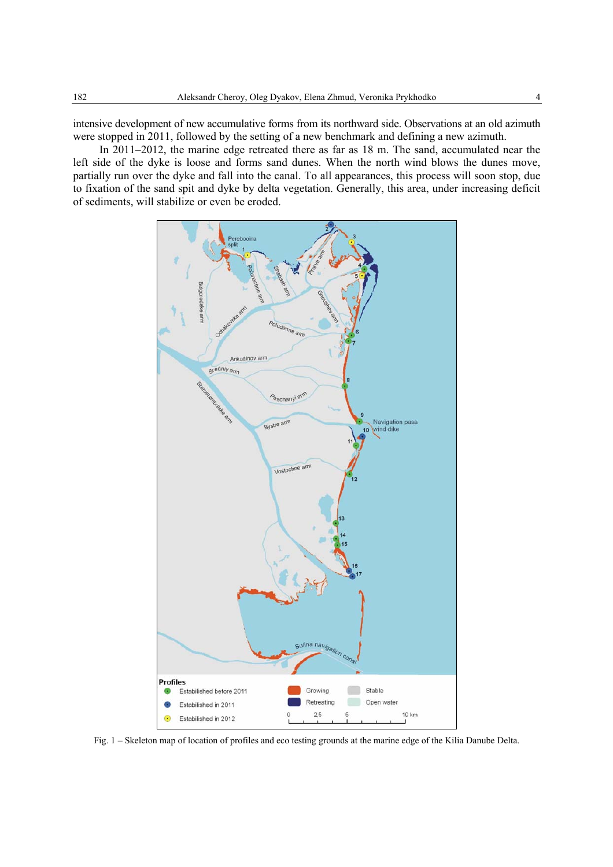intensive development of new accumulative forms from its northward side. Observations at an old azimuth were stopped in 2011, followed by the setting of a new benchmark and defining a new azimuth.

In 2011–2012, the marine edge retreated there as far as 18 m. The sand, accumulated near the left side of the dyke is loose and forms sand dunes. When the north wind blows the dunes move, partially run over the dyke and fall into the canal. To all appearances, this process will soon stop, due to fixation of the sand spit and dyke by delta vegetation. Generally, this area, under increasing deficit of sediments, will stabilize or even be eroded.



Fig. 1 – Skeleton map of location of profiles and eco testing grounds at the marine edge of the Kilia Danube Delta.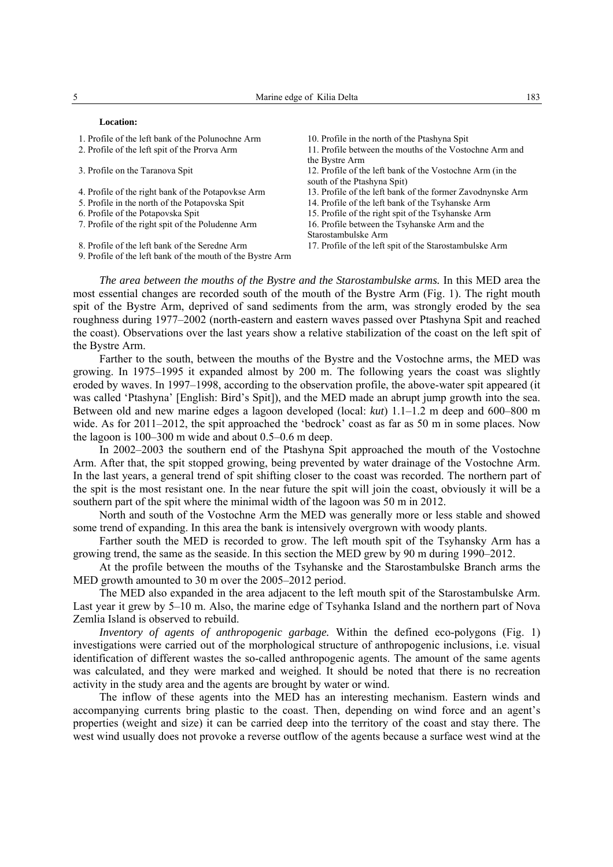#### **Location:**

- 1. Profile of the left bank of the Polunochne Arm 10. Profile in the north of the Ptashyna Spit
- 
- 
- 
- 
- 
- 7. Profile of the right spit of the Poludenne Arm 16. Profile between the Tsyhanske Arm and the
- 8. Profile of the left bank of the Seredne Arm 17. Profile of the left spit of the Starostambulske Arm
- 9. Profile of the left bank of the mouth of the Bystre Arm
- 
- 2. Profile of the left spit of the Prorva Arm 11. Profile between the mouths of the Vostochne Arm and the Bystre Arm
- 3. Profile on the Taranova Spit 12. Profile of the left bank of the Vostochne Arm (in the south of the Ptashyna Spit)
- 4. Profile of the right bank of the Potapovkse Arm 13. Profile of the left bank of the former Zavodnynske Arm
- 5. Profile in the north of the Potapovska Spit 14. Profile of the left bank of the Tsyhanske Arm
- 6. Profile of the Potapovska Spit 15. Profile of the right spit of the Tsyhanske Arm
	-
	- Starostambulske Arm
	-

*The area between the mouths of the Bystre and the Starostambulske arms.* In this MED area the most essential changes are recorded south of the mouth of the Bystre Arm (Fig. 1). The right mouth spit of the Bystre Arm, deprived of sand sediments from the arm, was strongly eroded by the sea roughness during 1977–2002 (north-eastern and eastern waves passed over Ptashyna Spit and reached the coast). Observations over the last years show a relative stabilization of the coast on the left spit of the Bystre Arm.

Farther to the south, between the mouths of the Bystre and the Vostochne arms, the MED was growing. In 1975–1995 it expanded almost by 200 m. The following years the coast was slightly eroded by waves. In 1997–1998, according to the observation profile, the above-water spit appeared (it was called 'Ptashyna' [English: Bird's Spit]), and the MED made an abrupt jump growth into the sea. Between old and new marine edges a lagoon developed (local: *kut*) 1.1–1.2 m deep and 600–800 m wide. As for 2011–2012, the spit approached the 'bedrock' coast as far as 50 m in some places. Now the lagoon is 100–300 m wide and about 0.5–0.6 m deep.

In 2002–2003 the southern end of the Ptashyna Spit approached the mouth of the Vostochne Arm. After that, the spit stopped growing, being prevented by water drainage of the Vostochne Arm. In the last years, a general trend of spit shifting closer to the coast was recorded. The northern part of the spit is the most resistant one. In the near future the spit will join the coast, obviously it will be a southern part of the spit where the minimal width of the lagoon was 50 m in 2012.

North and south of the Vostochne Arm the MED was generally more or less stable and showed some trend of expanding. In this area the bank is intensively overgrown with woody plants.

Farther south the MED is recorded to grow. The left mouth spit of the Tsyhansky Arm has a growing trend, the same as the seaside. In this section the MED grew by 90 m during 1990–2012.

At the profile between the mouths of the Tsyhanske and the Starostambulske Branch arms the MED growth amounted to 30 m over the 2005–2012 period.

The MED also expanded in the area adjacent to the left mouth spit of the Starostambulske Arm. Last year it grew by 5–10 m. Also, the marine edge of Tsyhanka Island and the northern part of Nova Zemlia Island is observed to rebuild.

*Inventory of agents of anthropogenic garbage.* Within the defined eco-polygons (Fig. 1) investigations were carried out of the morphological structure of anthropogenic inclusions, i.e. visual identification of different wastes the so-called anthropogenic agents. The amount of the same agents was calculated, and they were marked and weighed. It should be noted that there is no recreation activity in the study area and the agents are brought by water or wind.

The inflow of these agents into the MED has an interesting mechanism. Eastern winds and accompanying currents bring plastic to the coast. Then, depending on wind force and an agent's properties (weight and size) it can be carried deep into the territory of the coast and stay there. The west wind usually does not provoke a reverse outflow of the agents because a surface west wind at the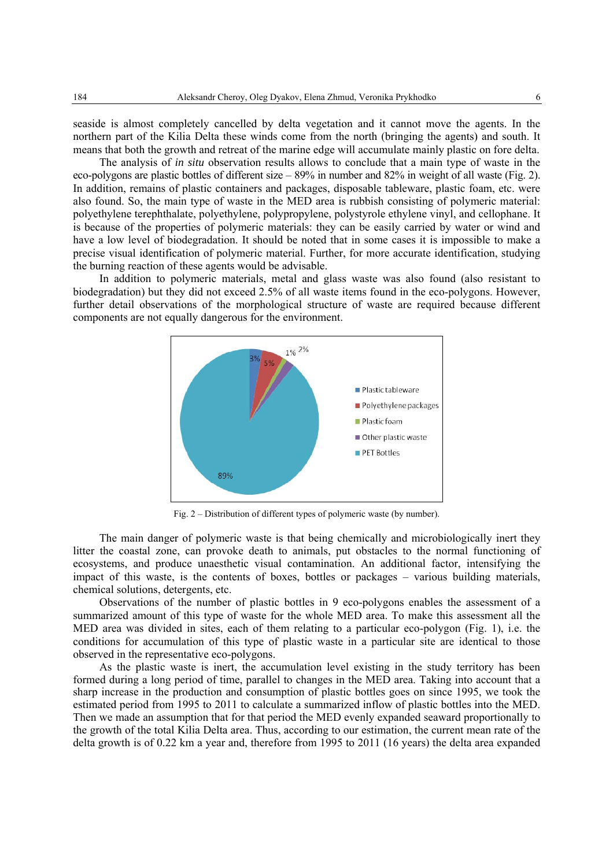seaside is almost completely cancelled by delta vegetation and it cannot move the agents. In the northern part of the Kilia Delta these winds come from the north (bringing the agents) and south. It means that both the growth and retreat of the marine edge will accumulate mainly plastic on fore delta.

The analysis of *in situ* observation results allows to conclude that a main type of waste in the eco-polygons are plastic bottles of different size – 89% in number and 82% in weight of all waste (Fig. 2). In addition, remains of plastic containers and packages, disposable tableware, plastic foam, etc. were also found. So, the main type of waste in the MED area is rubbish consisting of polymeric material: polyethylene terephthalate, polyethylene, polypropylene, polystyrole ethylene vinyl, and cellophane. It is because of the properties of polymeric materials: they can be easily carried by water or wind and have a low level of biodegradation. It should be noted that in some cases it is impossible to make a precise visual identification of polymeric material. Further, for more accurate identification, studying the burning reaction of these agents would be advisable.

In addition to polymeric materials, metal and glass waste was also found (also resistant to biodegradation) but they did not exceed 2.5% of all waste items found in the eco-polygons. However, further detail observations of the morphological structure of waste are required because different components are not equally dangerous for the environment.



Fig. 2 – Distribution of different types of polymeric waste (by number).

The main danger of polymeric waste is that being chemically and microbiologically inert they litter the coastal zone, can provoke death to animals, put obstacles to the normal functioning of ecosystems, and produce unaesthetic visual contamination. An additional factor, intensifying the impact of this waste, is the contents of boxes, bottles or packages – various building materials, chemical solutions, detergents, etc.

Observations of the number of plastic bottles in 9 eco-polygons enables the assessment of a summarized amount of this type of waste for the whole MED area. To make this assessment all the MED area was divided in sites, each of them relating to a particular eco-polygon (Fig. 1), i.e. the conditions for accumulation of this type of plastic waste in a particular site are identical to those observed in the representative eco-polygons.

As the plastic waste is inert, the accumulation level existing in the study territory has been formed during a long period of time, parallel to changes in the MED area. Taking into account that a sharp increase in the production and consumption of plastic bottles goes on since 1995, we took the estimated period from 1995 to 2011 to calculate a summarized inflow of plastic bottles into the MED. Then we made an assumption that for that period the MED evenly expanded seaward proportionally to the growth of the total Kilia Delta area. Thus, according to our estimation, the current mean rate of the delta growth is of 0.22 km a year and, therefore from 1995 to 2011 (16 years) the delta area expanded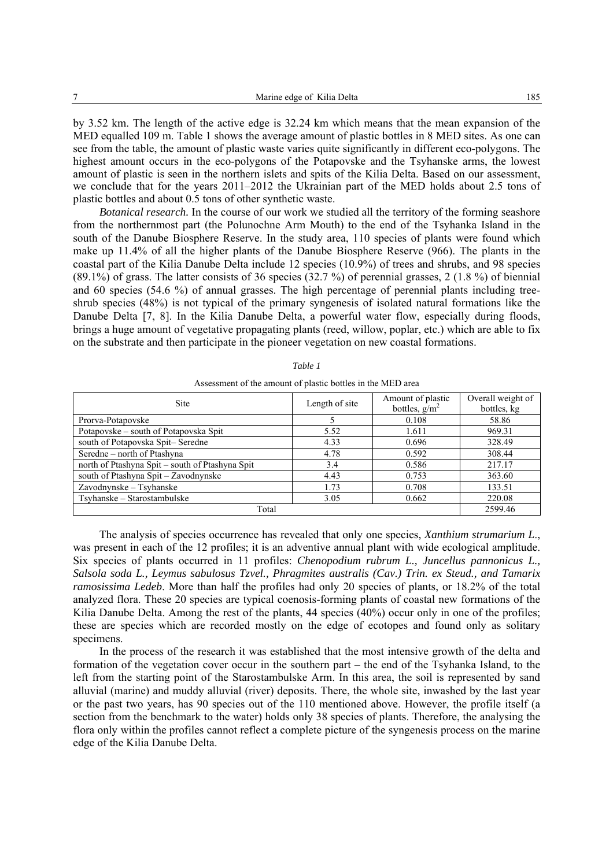by 3.52 km. The length of the active edge is 32.24 km which means that the mean expansion of the MED equalled 109 m. Table 1 shows the average amount of plastic bottles in 8 MED sites. As one can see from the table, the amount of plastic waste varies quite significantly in different eco-polygons. The highest amount occurs in the eco-polygons of the Potapovske and the Tsyhanske arms, the lowest amount of plastic is seen in the northern islets and spits of the Kilia Delta. Based on our assessment, we conclude that for the years 2011–2012 the Ukrainian part of the MED holds about 2.5 tons of plastic bottles and about 0.5 tons of other synthetic waste.

*Botanical research*. In the course of our work we studied all the territory of the forming seashore from the northernmost part (the Polunochne Arm Mouth) to the end of the Tsyhanka Island in the south of the Danube Biosphere Reserve. In the study area, 110 species of plants were found which make up 11.4% of all the higher plants of the Danube Biosphere Reserve (966). The plants in the coastal part of the Kilia Danube Delta include 12 species (10.9%) of trees and shrubs, and 98 species (89.1%) of grass. The latter consists of 36 species (32.7 %) of perennial grasses, 2 (1.8 %) of biennial and 60 species (54.6 %) of annual grasses. The high percentage of perennial plants including treeshrub species (48%) is not typical of the primary syngenesis of isolated natural formations like the Danube Delta [7, 8]. In the Kilia Danube Delta, a powerful water flow, especially during floods, brings a huge amount of vegetative propagating plants (reed, willow, poplar, etc.) which are able to fix on the substrate and then participate in the pioneer vegetation on new coastal formations.

| <b>Site</b>                                     | Length of site | Amount of plastic<br>bottles, $g/m^2$ | Overall weight of<br>bottles, kg |
|-------------------------------------------------|----------------|---------------------------------------|----------------------------------|
| Prorva-Potapovske                               |                | 0.108                                 | 58.86                            |
| Potapovske – south of Potapovska Spit           | 5.52           | 1.611                                 | 969.31                           |
| south of Potapovska Spit-Seredne                | 4.33           | 0.696                                 | 328.49                           |
| Seredne - north of Ptashyna                     | 4.78           | 0.592                                 | 308.44                           |
| north of Ptashyna Spit - south of Ptashyna Spit | 3.4            | 0.586                                 | 217.17                           |
| south of Ptashyna Spit - Zavodnynske            | 4.43           | 0.753                                 | 363.60                           |
| Zavodnynske – Tsyhanske                         | 1.73           | 0.708                                 | 133.51                           |
| Tsyhanske – Starostambulske                     | 3.05           | 0.662                                 | 220.08                           |
| Total                                           |                |                                       | 2599.46                          |

Assessment of the amount of plastic bottles in the MED area

The analysis of species occurrence has revealed that only one species, *Xanthium strumarium L*., was present in each of the 12 profiles; it is an adventive annual plant with wide ecological amplitude. Six species of plants occurred in 11 profiles: *Chenopodium rubrum L., Juncellus pannonicus L., Salsola soda L., Leymus sabulosus Tzvel., Phragmites australis (Cav.) Trin. ex Steud., and Tamarix ramosissima Ledeb*. More than half the profiles had only 20 species of plants, or 18.2% of the total analyzed flora. These 20 species are typical coenosis-forming plants of coastal new formations of the Kilia Danube Delta. Among the rest of the plants, 44 species (40%) occur only in one of the profiles; these are species which are recorded mostly on the edge of ecotopes and found only as solitary specimens.

In the process of the research it was established that the most intensive growth of the delta and formation of the vegetation cover occur in the southern part – the end of the Tsyhanka Island, to the left from the starting point of the Starostambulske Arm. In this area, the soil is represented by sand alluvial (marine) and muddy alluvial (river) deposits. There, the whole site, inwashed by the last year or the past two years, has 90 species out of the 110 mentioned above. However, the profile itself (a section from the benchmark to the water) holds only 38 species of plants. Therefore, the analysing the flora only within the profiles cannot reflect a complete picture of the syngenesis process on the marine edge of the Kilia Danube Delta.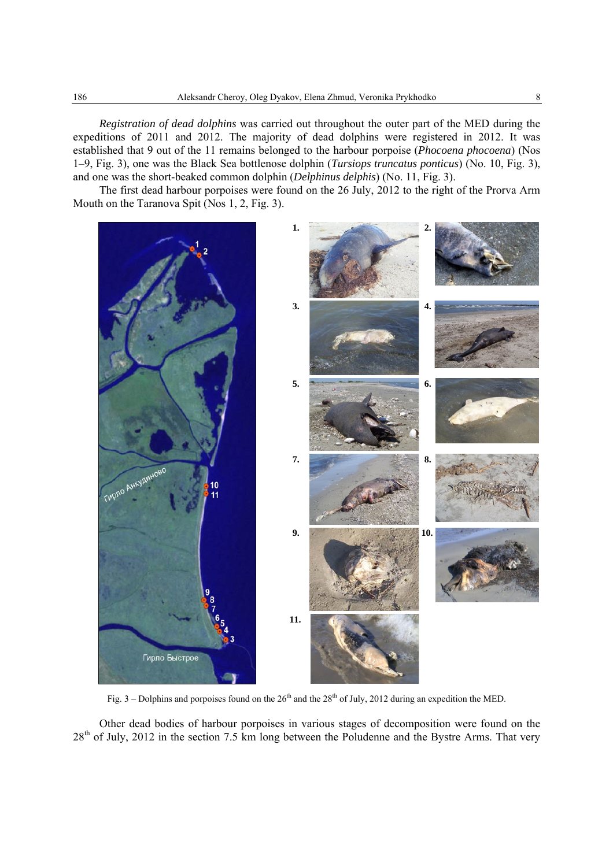*Registration of dead dolphins* was carried out throughout the outer part of the MED during the expeditions of 2011 and 2012. The majority of dead dolphins were registered in 2012. It was established that 9 out of the 11 remains belonged to the harbour porpoise (*Phocoena phocoena*) (Nos 1–9, Fig. 3), one was the Black Sea bottlenose dolphin (*Tursiops truncatus ponticus*) (No. 10, Fig. 3), and one was the short-beaked common dolphin (*Delphinus delphis*) (No. 11, Fig. 3).

The first dead harbour porpoises were found on the 26 July, 2012 to the right of the Prorva Arm Mouth on the Taranova Spit (Nos 1, 2, Fig. 3).



Fig. 3 – Dolphins and porpoises found on the  $26<sup>th</sup>$  and the  $28<sup>th</sup>$  of July, 2012 during an expedition the MED.

Other dead bodies of harbour porpoises in various stages of decomposition were found on the 28<sup>th</sup> of July, 2012 in the section 7.5 km long between the Poludenne and the Bystre Arms. That very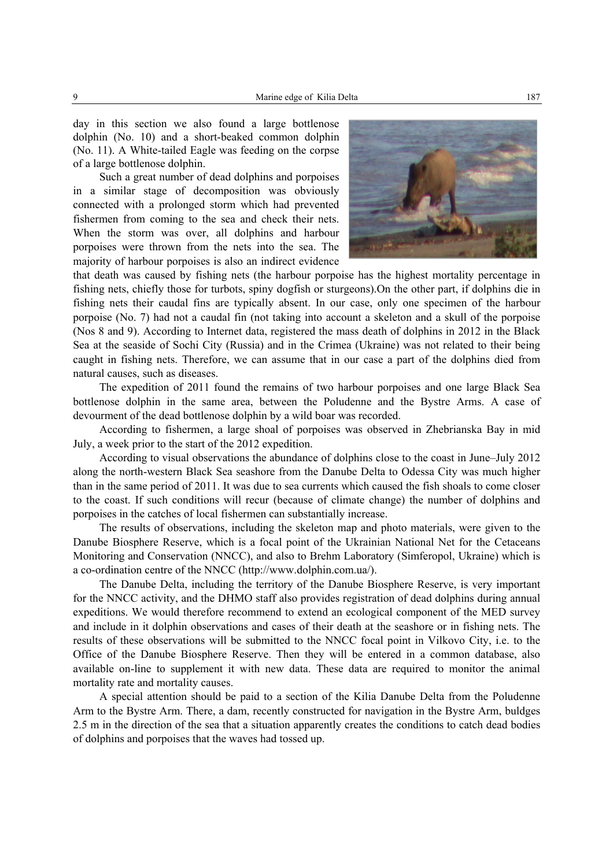day in this section we also found a large bottlenose dolphin (No. 10) and a short-beaked common dolphin (No. 11). A White-tailed Eagle was feeding on the corpse of a large bottlenose dolphin.

Such a great number of dead dolphins and porpoises in a similar stage of decomposition was obviously connected with a prolonged storm which had prevented fishermen from coming to the sea and check their nets. When the storm was over, all dolphins and harbour porpoises were thrown from the nets into the sea. The majority of harbour porpoises is also an indirect evidence



that death was caused by fishing nets (the harbour porpoise has the highest mortality percentage in fishing nets, chiefly those for turbots, spiny dogfish or sturgeons).On the other part, if dolphins die in fishing nets their caudal fins are typically absent. In our case, only one specimen of the harbour porpoise (No. 7) had not a caudal fin (not taking into account a skeleton and a skull of the porpoise (Nos 8 and 9). According to Internet data, registered the mass death of dolphins in 2012 in the Black Sea at the seaside of Sochi City (Russia) and in the Crimea (Ukraine) was not related to their being caught in fishing nets. Therefore, we can assume that in our case a part of the dolphins died from natural causes, such as diseases.

The expedition of 2011 found the remains of two harbour porpoises and one large Black Sea bottlenose dolphin in the same area, between the Poludenne and the Bystre Arms. A case of devourment of the dead bottlenose dolphin by a wild boar was recorded.

According to fishermen, a large shoal of porpoises was observed in Zhebrianska Bay in mid July, a week prior to the start of the 2012 expedition.

According to visual observations the abundance of dolphins close to the coast in June–July 2012 along the north-western Black Sea seashore from the Danube Delta to Odessa City was much higher than in the same period of 2011. It was due to sea currents which caused the fish shoals to come closer to the coast. If such conditions will recur (because of climate change) the number of dolphins and porpoises in the catches of local fishermen can substantially increase.

The results of observations, including the skeleton map and photo materials, were given to the Danube Biosphere Reserve, which is a focal point of the Ukrainian National Net for the Cetaceans Monitoring and Conservation (NNCC), and also to Brehm Laboratory (Simferopol, Ukraine) which is a co-ordination centre of the NNCC (http://www.dolphin.com.ua/).

The Danube Delta, including the territory of the Danube Biosphere Reserve, is very important for the NNCC activity, and the DHMO staff also provides registration of dead dolphins during annual expeditions. We would therefore recommend to extend an ecological component of the MED survey and include in it dolphin observations and cases of their death at the seashore or in fishing nets. The results of these observations will be submitted to the NNCC focal point in Vilkovo City, i.e. to the Office of the Danube Biosphere Reserve. Then they will be entered in a common database, also available on-line to supplement it with new data. These data are required to monitor the animal mortality rate and mortality causes.

A special attention should be paid to a section of the Kilia Danube Delta from the Poludenne Arm to the Bystre Arm. There, a dam, recently constructed for navigation in the Bystre Arm, buldges 2.5 m in the direction of the sea that a situation apparently creates the conditions to catch dead bodies of dolphins and porpoises that the waves had tossed up.